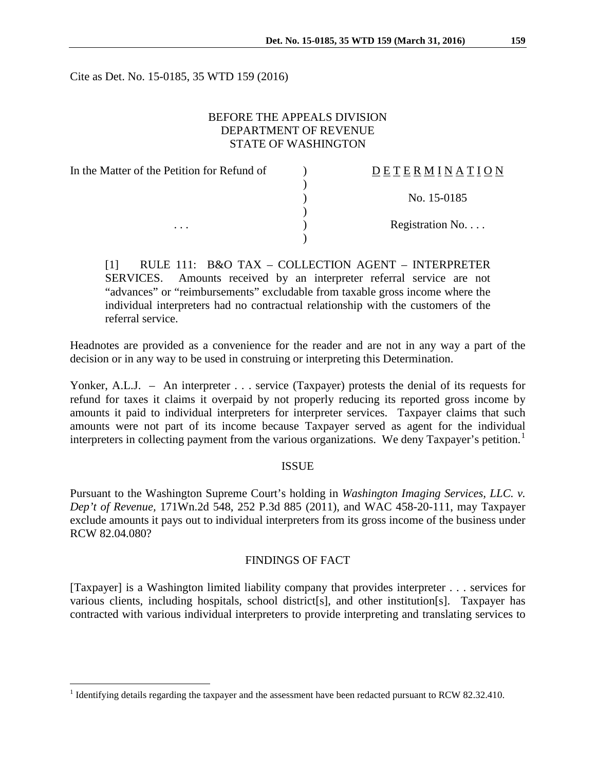Cite as Det. No. 15-0185, 35 WTD 159 (2016)

### BEFORE THE APPEALS DIVISION DEPARTMENT OF REVENUE STATE OF WASHINGTON

| In the Matter of the Petition for Refund of | DETERMINATION   |
|---------------------------------------------|-----------------|
|                                             |                 |
|                                             | No. 15-0185     |
|                                             |                 |
| $\cdots$                                    | Registration No |
|                                             |                 |

[1] RULE 111: B&O TAX – COLLECTION AGENT – INTERPRETER SERVICES. Amounts received by an interpreter referral service are not "advances" or "reimbursements" excludable from taxable gross income where the individual interpreters had no contractual relationship with the customers of the referral service.

Headnotes are provided as a convenience for the reader and are not in any way a part of the decision or in any way to be used in construing or interpreting this Determination.

Yonker, A.L.J. – An interpreter . . . service (Taxpayer) protests the denial of its requests for refund for taxes it claims it overpaid by not properly reducing its reported gross income by amounts it paid to individual interpreters for interpreter services. Taxpayer claims that such amounts were not part of its income because Taxpayer served as agent for the individual interpreters in collecting payment from the various organizations. We deny Taxpayer's petition.<sup>[1](#page-0-0)</sup>

### ISSUE

Pursuant to the Washington Supreme Court's holding in *Washington Imaging Services, LLC. v. Dep't of Revenue,* 171Wn.2d 548, 252 P.3d 885 (2011), and WAC 458-20-111, may Taxpayer exclude amounts it pays out to individual interpreters from its gross income of the business under RCW 82.04.080?

### FINDINGS OF FACT

[Taxpayer] is a Washington limited liability company that provides interpreter . . . services for various clients, including hospitals, school district[s], and other institution[s]. Taxpayer has contracted with various individual interpreters to provide interpreting and translating services to

<span id="page-0-0"></span><sup>&</sup>lt;sup>1</sup> Identifying details regarding the taxpayer and the assessment have been redacted pursuant to RCW 82.32.410.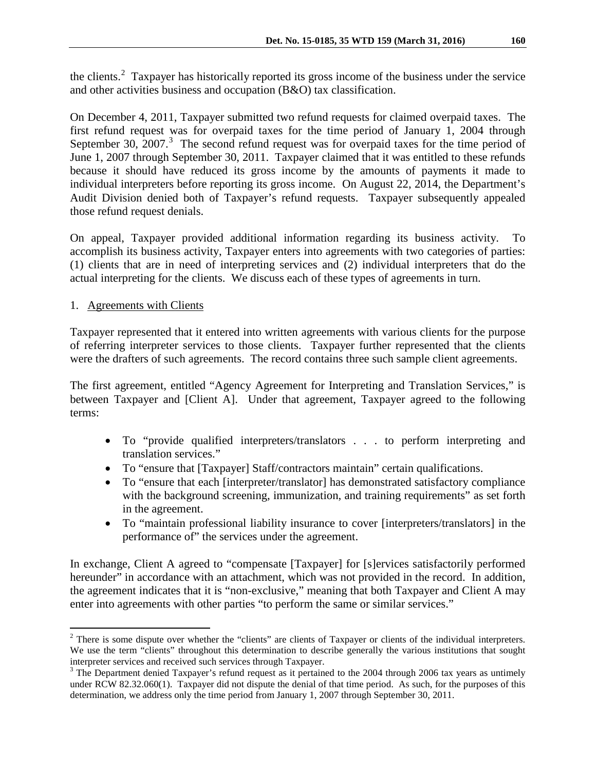the clients.<sup>[2](#page-1-0)</sup> Taxpayer has historically reported its gross income of the business under the service and other activities business and occupation (B&O) tax classification.

On December 4, 2011, Taxpayer submitted two refund requests for claimed overpaid taxes. The first refund request was for overpaid taxes for the time period of January 1, 2004 through September [3](#page-1-1)0, 2007.<sup>3</sup> The second refund request was for overpaid taxes for the time period of June 1, 2007 through September 30, 2011. Taxpayer claimed that it was entitled to these refunds because it should have reduced its gross income by the amounts of payments it made to individual interpreters before reporting its gross income. On August 22, 2014, the Department's Audit Division denied both of Taxpayer's refund requests. Taxpayer subsequently appealed those refund request denials.

On appeal, Taxpayer provided additional information regarding its business activity. To accomplish its business activity, Taxpayer enters into agreements with two categories of parties: (1) clients that are in need of interpreting services and (2) individual interpreters that do the actual interpreting for the clients. We discuss each of these types of agreements in turn.

## 1. Agreements with Clients

Taxpayer represented that it entered into written agreements with various clients for the purpose of referring interpreter services to those clients. Taxpayer further represented that the clients were the drafters of such agreements. The record contains three such sample client agreements.

The first agreement, entitled "Agency Agreement for Interpreting and Translation Services," is between Taxpayer and [Client A]. Under that agreement, Taxpayer agreed to the following terms:

- To "provide qualified interpreters/translators . . . to perform interpreting and translation services."
- To "ensure that [Taxpayer] Staff/contractors maintain" certain qualifications.
- To "ensure that each [interpreter/translator] has demonstrated satisfactory compliance with the background screening, immunization, and training requirements" as set forth in the agreement.
- To "maintain professional liability insurance to cover [interpreters/translators] in the performance of" the services under the agreement.

In exchange, Client A agreed to "compensate [Taxpayer] for [s]ervices satisfactorily performed hereunder" in accordance with an attachment, which was not provided in the record. In addition, the agreement indicates that it is "non-exclusive," meaning that both Taxpayer and Client A may enter into agreements with other parties "to perform the same or similar services."

<span id="page-1-0"></span><sup>&</sup>lt;sup>2</sup> There is some dispute over whether the "clients" are clients of Taxpayer or clients of the individual interpreters. We use the term "clients" throughout this determination to describe generally the various institutions that sought interpreter services and received such services through Taxpayer.<br><sup>3</sup> The Department denied Taxpayer's refund request as it pertained to the 2004 through 2006 tax years as untimely

<span id="page-1-1"></span>under RCW 82.32.060(1). Taxpayer did not dispute the denial of that time period. As such, for the purposes of this determination, we address only the time period from January 1, 2007 through September 30, 2011.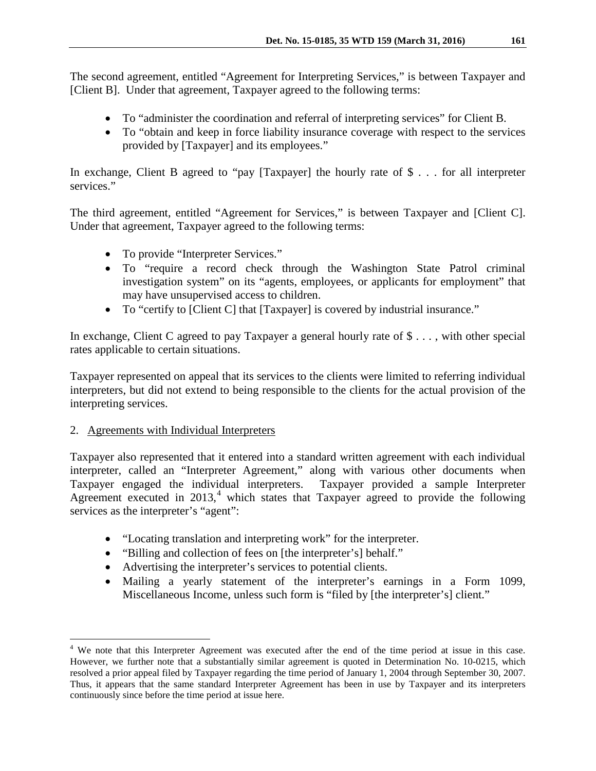The second agreement, entitled "Agreement for Interpreting Services," is between Taxpayer and [Client B]. Under that agreement, Taxpayer agreed to the following terms:

- To "administer the coordination and referral of interpreting services" for Client B.
- To "obtain and keep in force liability insurance coverage with respect to the services provided by [Taxpayer] and its employees."

In exchange, Client B agreed to "pay [Taxpayer] the hourly rate of \$ . . . for all interpreter services."

The third agreement, entitled "Agreement for Services," is between Taxpayer and [Client C]. Under that agreement, Taxpayer agreed to the following terms:

- To provide "Interpreter Services."
- To "require a record check through the Washington State Patrol criminal investigation system" on its "agents, employees, or applicants for employment" that may have unsupervised access to children.
- To "certify to [Client C] that [Taxpayer] is covered by industrial insurance."

In exchange, Client C agreed to pay Taxpayer a general hourly rate of \$ . . . , with other special rates applicable to certain situations.

Taxpayer represented on appeal that its services to the clients were limited to referring individual interpreters, but did not extend to being responsible to the clients for the actual provision of the interpreting services.

## 2. Agreements with Individual Interpreters

Taxpayer also represented that it entered into a standard written agreement with each individual interpreter, called an "Interpreter Agreement," along with various other documents when Taxpayer engaged the individual interpreters. Taxpayer provided a sample Interpreter Agreement executed in  $2013$ ,<sup>[4](#page-2-0)</sup> which states that Taxpayer agreed to provide the following services as the interpreter's "agent":

- "Locating translation and interpreting work" for the interpreter.
- "Billing and collection of fees on [the interpreter's] behalf."
- Advertising the interpreter's services to potential clients.
- Mailing a yearly statement of the interpreter's earnings in a Form 1099, Miscellaneous Income, unless such form is "filed by [the interpreter's] client."

<span id="page-2-0"></span><sup>&</sup>lt;sup>4</sup> We note that this Interpreter Agreement was executed after the end of the time period at issue in this case. However, we further note that a substantially similar agreement is quoted in Determination No. 10-0215, which resolved a prior appeal filed by Taxpayer regarding the time period of January 1, 2004 through September 30, 2007. Thus, it appears that the same standard Interpreter Agreement has been in use by Taxpayer and its interpreters continuously since before the time period at issue here.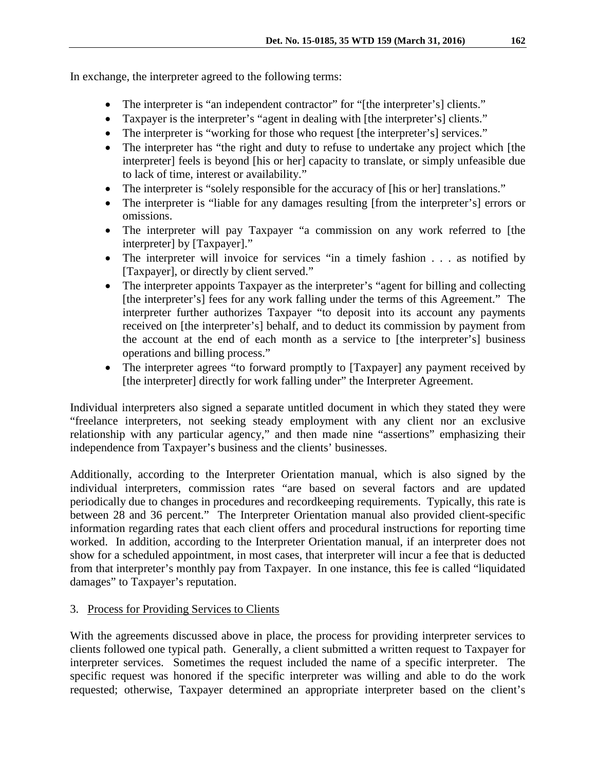In exchange, the interpreter agreed to the following terms:

- The interpreter is "an independent contractor" for "[the interpreter's] clients."
- Taxpayer is the interpreter's "agent in dealing with [the interpreter's] clients."
- The interpreter is "working for those who request [the interpreter's] services."
- The interpreter has "the right and duty to refuse to undertake any project which [the interpreter] feels is beyond [his or her] capacity to translate, or simply unfeasible due to lack of time, interest or availability."
- The interpreter is "solely responsible for the accuracy of [his or her] translations."
- The interpreter is "liable for any damages resulting [from the interpreter's] errors or omissions.
- The interpreter will pay Taxpayer "a commission on any work referred to [the interpreter] by [Taxpayer]."
- The interpreter will invoice for services "in a timely fashion . . . as notified by [Taxpayer], or directly by client served."
- The interpreter appoints Taxpayer as the interpreter's "agent for billing and collecting [the interpreter's] fees for any work falling under the terms of this Agreement." The interpreter further authorizes Taxpayer "to deposit into its account any payments received on [the interpreter's] behalf, and to deduct its commission by payment from the account at the end of each month as a service to [the interpreter's] business operations and billing process."
- The interpreter agrees "to forward promptly to [Taxpayer] any payment received by [the interpreter] directly for work falling under" the Interpreter Agreement.

Individual interpreters also signed a separate untitled document in which they stated they were "freelance interpreters, not seeking steady employment with any client nor an exclusive relationship with any particular agency," and then made nine "assertions" emphasizing their independence from Taxpayer's business and the clients' businesses.

Additionally, according to the Interpreter Orientation manual, which is also signed by the individual interpreters, commission rates "are based on several factors and are updated periodically due to changes in procedures and recordkeeping requirements. Typically, this rate is between 28 and 36 percent." The Interpreter Orientation manual also provided client-specific information regarding rates that each client offers and procedural instructions for reporting time worked. In addition, according to the Interpreter Orientation manual, if an interpreter does not show for a scheduled appointment, in most cases, that interpreter will incur a fee that is deducted from that interpreter's monthly pay from Taxpayer. In one instance, this fee is called "liquidated damages" to Taxpayer's reputation.

# 3. Process for Providing Services to Clients

With the agreements discussed above in place, the process for providing interpreter services to clients followed one typical path. Generally, a client submitted a written request to Taxpayer for interpreter services. Sometimes the request included the name of a specific interpreter. The specific request was honored if the specific interpreter was willing and able to do the work requested; otherwise, Taxpayer determined an appropriate interpreter based on the client's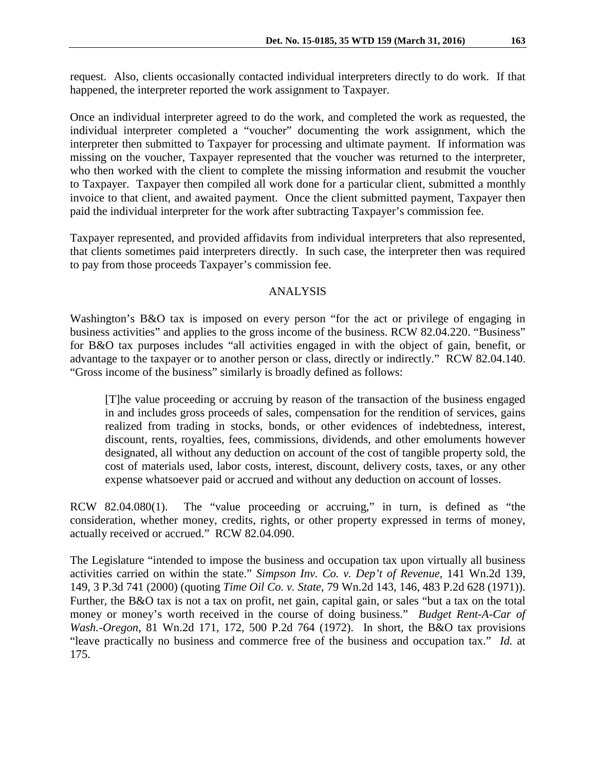request. Also, clients occasionally contacted individual interpreters directly to do work. If that happened, the interpreter reported the work assignment to Taxpayer.

Once an individual interpreter agreed to do the work, and completed the work as requested, the individual interpreter completed a "voucher" documenting the work assignment, which the interpreter then submitted to Taxpayer for processing and ultimate payment. If information was missing on the voucher, Taxpayer represented that the voucher was returned to the interpreter, who then worked with the client to complete the missing information and resubmit the voucher to Taxpayer. Taxpayer then compiled all work done for a particular client, submitted a monthly invoice to that client, and awaited payment. Once the client submitted payment, Taxpayer then paid the individual interpreter for the work after subtracting Taxpayer's commission fee.

Taxpayer represented, and provided affidavits from individual interpreters that also represented, that clients sometimes paid interpreters directly. In such case, the interpreter then was required to pay from those proceeds Taxpayer's commission fee.

### ANALYSIS

Washington's B&O tax is imposed on every person "for the act or privilege of engaging in business activities" and applies to the gross income of the business. RCW 82.04.220. "Business" for B&O tax purposes includes "all activities engaged in with the object of gain, benefit, or advantage to the taxpayer or to another person or class, directly or indirectly." RCW 82.04.140. "Gross income of the business" similarly is broadly defined as follows:

[T]he value proceeding or accruing by reason of the transaction of the business engaged in and includes gross proceeds of sales, compensation for the rendition of services, gains realized from trading in stocks, bonds, or other evidences of indebtedness, interest, discount, rents, royalties, fees, commissions, dividends, and other emoluments however designated, all without any deduction on account of the cost of tangible property sold, the cost of materials used, labor costs, interest, discount, delivery costs, taxes, or any other expense whatsoever paid or accrued and without any deduction on account of losses.

RCW 82.04.080(1). The "value proceeding or accruing," in turn, is defined as "the consideration, whether money, credits, rights, or other property expressed in terms of money, actually received or accrued." RCW 82.04.090.

The Legislature "intended to impose the business and occupation tax upon virtually all business activities carried on within the state." *Simpson Inv. Co. v. Dep't of Revenue,* 141 Wn.2d 139, 149, 3 P.3d 741 (2000) (quoting *Time Oil Co. v. State*, 79 Wn.2d 143, 146, 483 P.2d 628 (1971)). Further, the B&O tax is not a tax on profit, net gain, capital gain, or sales "but a tax on the total money or money's worth received in the course of doing business." *Budget Rent-A-Car of Wash.-Oregon*, 81 Wn.2d 171, 172, 500 P.2d 764 (1972). In short, the B&O tax provisions "leave practically no business and commerce free of the business and occupation tax." *Id.* at 175.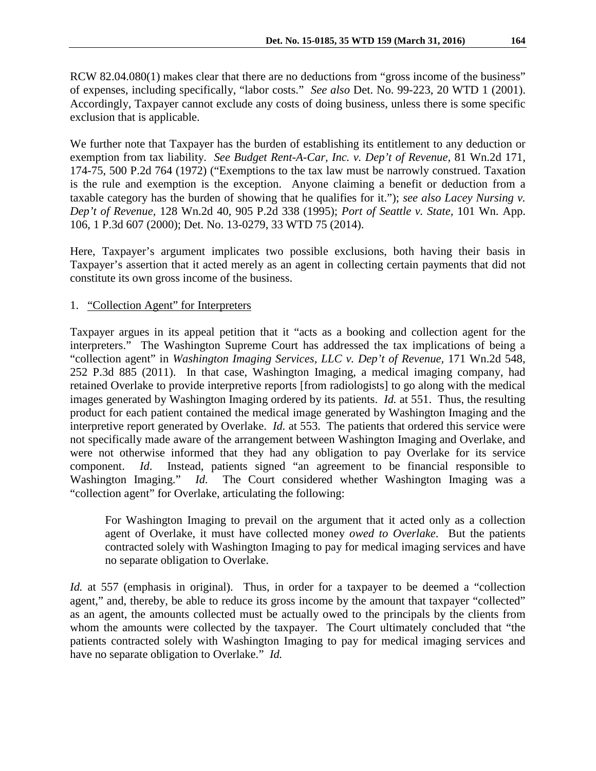RCW 82.04.080(1) makes clear that there are no deductions from "gross income of the business" of expenses, including specifically, "labor costs." *See also* Det. No. 99-223, 20 WTD 1 (2001). Accordingly, Taxpayer cannot exclude any costs of doing business, unless there is some specific exclusion that is applicable.

We further note that Taxpayer has the burden of establishing its entitlement to any deduction or exemption from tax liability. *See Budget Rent-A-Car, Inc. v. Dep't of Revenue,* 81 Wn.2d 171, 174-75, 500 P.2d 764 (1972) ("Exemptions to the tax law must be narrowly construed. Taxation is the rule and exemption is the exception. Anyone claiming a benefit or deduction from a taxable category has the burden of showing that he qualifies for it."); *see also Lacey Nursing v. Dep't of Revenue,* 128 Wn.2d 40, 905 P.2d 338 (1995); *Port of Seattle v. State,* 101 Wn. App. 106, 1 P.3d 607 (2000); Det. No. 13-0279, 33 WTD 75 (2014).

Here, Taxpayer's argument implicates two possible exclusions, both having their basis in Taxpayer's assertion that it acted merely as an agent in collecting certain payments that did not constitute its own gross income of the business.

### 1. "Collection Agent" for Interpreters

Taxpayer argues in its appeal petition that it "acts as a booking and collection agent for the interpreters." The Washington Supreme Court has addressed the tax implications of being a "collection agent" in *Washington Imaging Services, LLC v. Dep't of Revenue,* 171 Wn.2d 548, 252 P.3d 885 (2011). In that case, Washington Imaging, a medical imaging company, had retained Overlake to provide interpretive reports [from radiologists] to go along with the medical images generated by Washington Imaging ordered by its patients. *Id.* at 551. Thus, the resulting product for each patient contained the medical image generated by Washington Imaging and the interpretive report generated by Overlake. *Id.* at 553. The patients that ordered this service were not specifically made aware of the arrangement between Washington Imaging and Overlake, and were not otherwise informed that they had any obligation to pay Overlake for its service component. *Id*. Instead, patients signed "an agreement to be financial responsible to Washington Imaging." *Id.* The Court considered whether Washington Imaging was a "collection agent" for Overlake, articulating the following:

For Washington Imaging to prevail on the argument that it acted only as a collection agent of Overlake, it must have collected money *owed to Overlake*. But the patients contracted solely with Washington Imaging to pay for medical imaging services and have no separate obligation to Overlake.

*Id.* at 557 (emphasis in original). Thus, in order for a taxpayer to be deemed a "collection agent," and, thereby, be able to reduce its gross income by the amount that taxpayer "collected" as an agent, the amounts collected must be actually owed to the principals by the clients from whom the amounts were collected by the taxpayer. The Court ultimately concluded that "the patients contracted solely with Washington Imaging to pay for medical imaging services and have no separate obligation to Overlake." *Id.*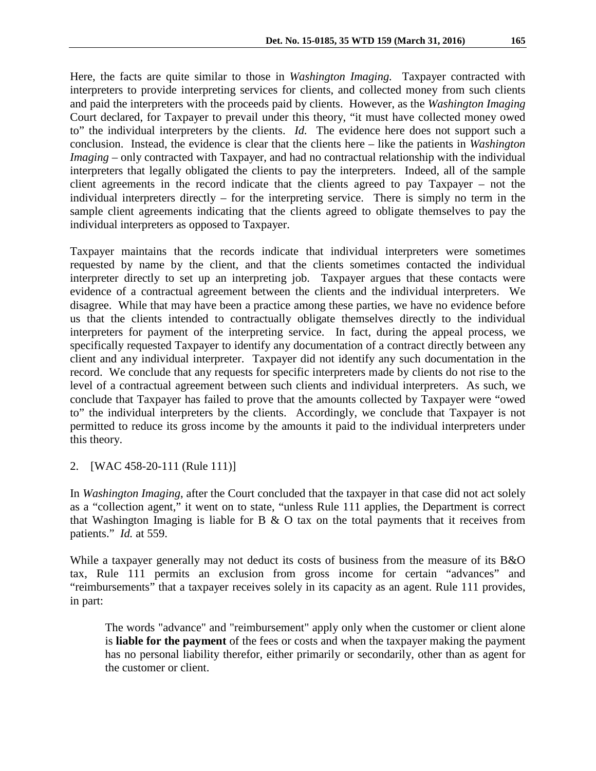Here, the facts are quite similar to those in *Washington Imaging.* Taxpayer contracted with interpreters to provide interpreting services for clients, and collected money from such clients and paid the interpreters with the proceeds paid by clients. However, as the *Washington Imaging*  Court declared, for Taxpayer to prevail under this theory, "it must have collected money owed to" the individual interpreters by the clients. *Id.* The evidence here does not support such a conclusion. Instead, the evidence is clear that the clients here – like the patients in *Washington Imaging* – only contracted with Taxpayer, and had no contractual relationship with the individual interpreters that legally obligated the clients to pay the interpreters. Indeed, all of the sample client agreements in the record indicate that the clients agreed to pay Taxpayer – not the individual interpreters directly – for the interpreting service. There is simply no term in the sample client agreements indicating that the clients agreed to obligate themselves to pay the individual interpreters as opposed to Taxpayer.

Taxpayer maintains that the records indicate that individual interpreters were sometimes requested by name by the client, and that the clients sometimes contacted the individual interpreter directly to set up an interpreting job. Taxpayer argues that these contacts were evidence of a contractual agreement between the clients and the individual interpreters. We disagree. While that may have been a practice among these parties, we have no evidence before us that the clients intended to contractually obligate themselves directly to the individual interpreters for payment of the interpreting service. In fact, during the appeal process, we specifically requested Taxpayer to identify any documentation of a contract directly between any client and any individual interpreter. Taxpayer did not identify any such documentation in the record. We conclude that any requests for specific interpreters made by clients do not rise to the level of a contractual agreement between such clients and individual interpreters. As such, we conclude that Taxpayer has failed to prove that the amounts collected by Taxpayer were "owed to" the individual interpreters by the clients. Accordingly, we conclude that Taxpayer is not permitted to reduce its gross income by the amounts it paid to the individual interpreters under this theory.

2. [WAC 458-20-111 (Rule 111)]

In *Washington Imaging*, after the Court concluded that the taxpayer in that case did not act solely as a "collection agent," it went on to state, "unless Rule 111 applies, the Department is correct that Washington Imaging is liable for B  $\&$  O tax on the total payments that it receives from patients." *Id.* at 559.

While a taxpayer generally may not deduct its costs of business from the measure of its B&O tax, Rule 111 permits an exclusion from gross income for certain "advances" and "reimbursements" that a taxpayer receives solely in its capacity as an agent. Rule 111 provides, in part:

The words "advance" and "reimbursement" apply only when the customer or client alone is **liable for the payment** of the fees or costs and when the taxpayer making the payment has no personal liability therefor, either primarily or secondarily, other than as agent for the customer or client.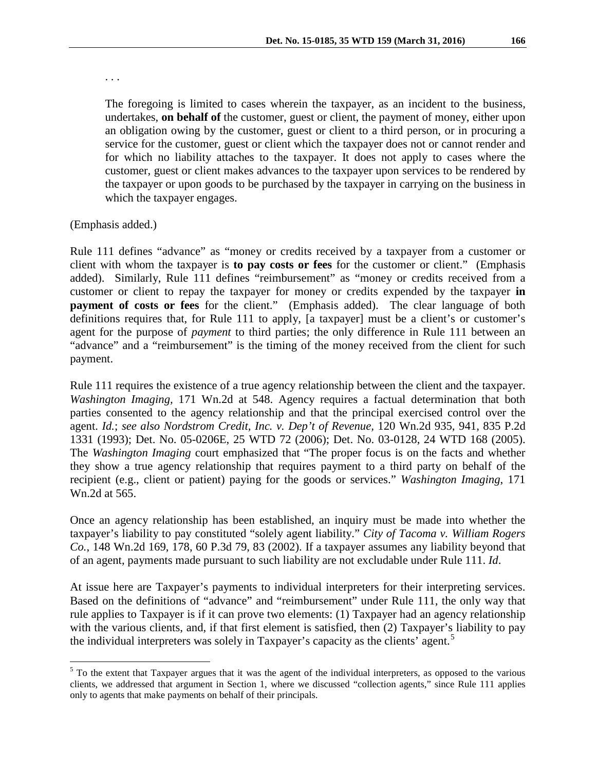. . .

The foregoing is limited to cases wherein the taxpayer, as an incident to the business, undertakes, **on behalf of** the customer, guest or client, the payment of money, either upon an obligation owing by the customer, guest or client to a third person, or in procuring a service for the customer, guest or client which the taxpayer does not or cannot render and for which no liability attaches to the taxpayer. It does not apply to cases where the customer, guest or client makes advances to the taxpayer upon services to be rendered by the taxpayer or upon goods to be purchased by the taxpayer in carrying on the business in which the taxpayer engages.

### (Emphasis added.)

Rule 111 defines "advance" as "money or credits received by a taxpayer from a customer or client with whom the taxpayer is **to pay costs or fees** for the customer or client." (Emphasis added). Similarly, Rule 111 defines "reimbursement" as "money or credits received from a customer or client to repay the taxpayer for money or credits expended by the taxpayer **in payment of costs or fees** for the client." (Emphasis added). The clear language of both definitions requires that, for Rule 111 to apply, [a taxpayer] must be a client's or customer's agent for the purpose of *payment* to third parties; the only difference in Rule 111 between an "advance" and a "reimbursement" is the timing of the money received from the client for such payment.

Rule 111 requires the existence of a true agency relationship between the client and the taxpayer. *Washington Imaging,* 171 Wn.2d at 548. Agency requires a factual determination that both parties consented to the agency relationship and that the principal exercised control over the agent. *Id.*; *see also Nordstrom Credit, Inc. v. Dep't of Revenue,* 120 Wn.2d 935, 941, 835 P.2d 1331 (1993); Det. No. 05-0206E, 25 WTD 72 (2006); Det. No. 03-0128, 24 WTD 168 (2005). The *Washington Imaging* court emphasized that "The proper focus is on the facts and whether they show a true agency relationship that requires payment to a third party on behalf of the recipient (e.g., client or patient) paying for the goods or services." *Washington Imaging*, 171 Wn.2d at 565.

Once an agency relationship has been established, an inquiry must be made into whether the taxpayer's liability to pay constituted "solely agent liability." *City of Tacoma v. William Rogers Co.*, 148 Wn.2d 169, 178, 60 P.3d 79, 83 (2002). If a taxpayer assumes any liability beyond that of an agent, payments made pursuant to such liability are not excludable under Rule 111. *Id*.

At issue here are Taxpayer's payments to individual interpreters for their interpreting services. Based on the definitions of "advance" and "reimbursement" under Rule 111, the only way that rule applies to Taxpayer is if it can prove two elements: (1) Taxpayer had an agency relationship with the various clients, and, if that first element is satisfied, then (2) Taxpayer's liability to pay the individual interpreters was solely in Taxpayer's capacity as the clients' agent.<sup>[5](#page-7-0)</sup>

<span id="page-7-0"></span><sup>&</sup>lt;sup>5</sup> To the extent that Taxpayer argues that it was the agent of the individual interpreters, as opposed to the various clients, we addressed that argument in Section 1, where we discussed "collection agents," since Rule 111 applies only to agents that make payments on behalf of their principals.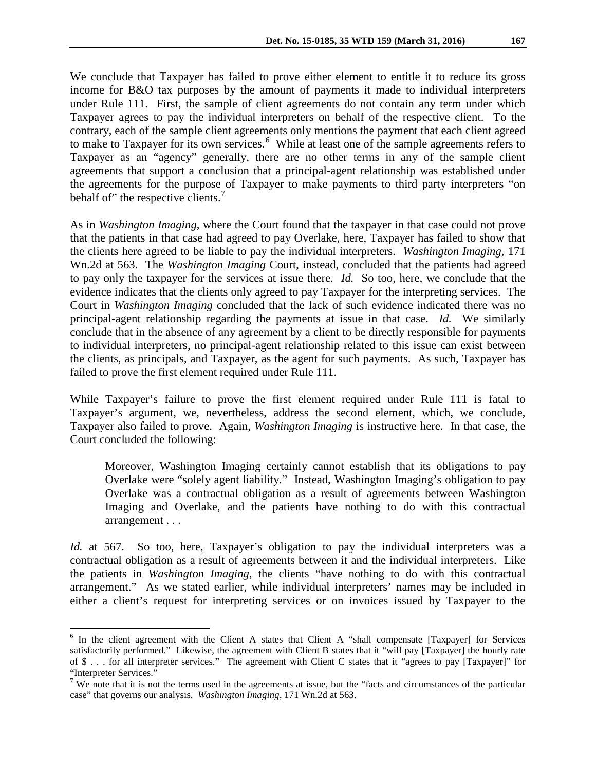We conclude that Taxpayer has failed to prove either element to entitle it to reduce its gross income for B&O tax purposes by the amount of payments it made to individual interpreters under Rule 111. First, the sample of client agreements do not contain any term under which Taxpayer agrees to pay the individual interpreters on behalf of the respective client. To the contrary, each of the sample client agreements only mentions the payment that each client agreed to make to Taxpayer for its own services.<sup>[6](#page-8-0)</sup> While at least one of the sample agreements refers to Taxpayer as an "agency" generally, there are no other terms in any of the sample client agreements that support a conclusion that a principal-agent relationship was established under the agreements for the purpose of Taxpayer to make payments to third party interpreters "on behalf of" the respective clients.<sup>[7](#page-8-1)</sup>

As in *Washington Imaging*, where the Court found that the taxpayer in that case could not prove that the patients in that case had agreed to pay Overlake, here, Taxpayer has failed to show that the clients here agreed to be liable to pay the individual interpreters. *Washington Imaging,* 171 Wn.2d at 563. The *Washington Imaging* Court, instead, concluded that the patients had agreed to pay only the taxpayer for the services at issue there. *Id.* So too, here, we conclude that the evidence indicates that the clients only agreed to pay Taxpayer for the interpreting services. The Court in *Washington Imaging* concluded that the lack of such evidence indicated there was no principal-agent relationship regarding the payments at issue in that case. *Id.* We similarly conclude that in the absence of any agreement by a client to be directly responsible for payments to individual interpreters, no principal-agent relationship related to this issue can exist between the clients, as principals, and Taxpayer, as the agent for such payments. As such, Taxpayer has failed to prove the first element required under Rule 111.

While Taxpayer's failure to prove the first element required under Rule 111 is fatal to Taxpayer's argument, we, nevertheless, address the second element, which, we conclude, Taxpayer also failed to prove. Again, *Washington Imaging* is instructive here. In that case, the Court concluded the following:

Moreover, Washington Imaging certainly cannot establish that its obligations to pay Overlake were "solely agent liability." Instead, Washington Imaging's obligation to pay Overlake was a contractual obligation as a result of agreements between Washington Imaging and Overlake, and the patients have nothing to do with this contractual arrangement . . .

*Id.* at 567. So too, here, Taxpayer's obligation to pay the individual interpreters was a contractual obligation as a result of agreements between it and the individual interpreters. Like the patients in *Washington Imaging,* the clients "have nothing to do with this contractual arrangement." As we stated earlier, while individual interpreters' names may be included in either a client's request for interpreting services or on invoices issued by Taxpayer to the

<span id="page-8-0"></span><sup>&</sup>lt;sup>6</sup> In the client agreement with the Client A states that Client A "shall compensate [Taxpayer] for Services satisfactorily performed." Likewise, the agreement with Client B states that it "will pay [Taxpayer] the hourly rate of \$ . . . for all interpreter services." The agreement with Client C states that it "agrees to pay [Taxpayer]" for "Interpreter Services."

<span id="page-8-1"></span><sup>&</sup>lt;sup>7</sup> We note that it is not the terms used in the agreements at issue, but the "facts and circumstances of the particular case" that governs our analysis. *Washington Imaging,* 171 Wn.2d at 563.